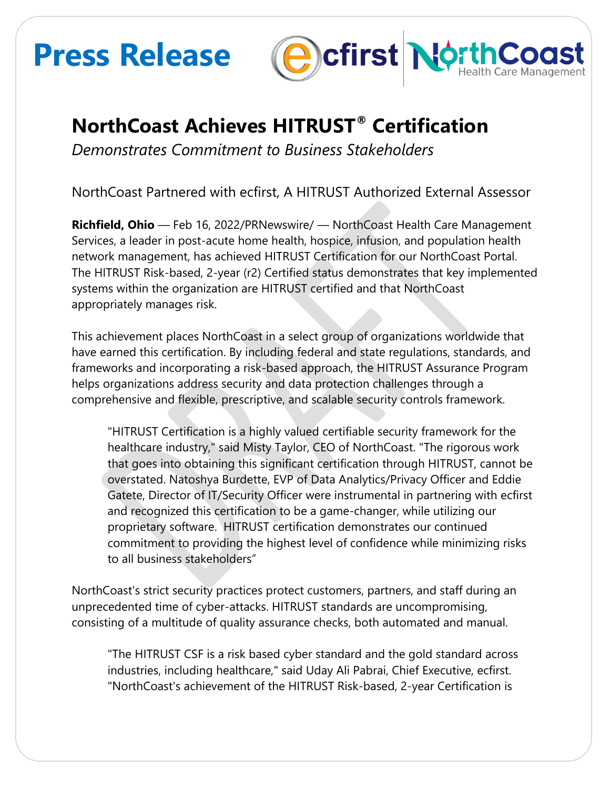# **Press Release**



## **NorthCoast Achieves HITRUST® Certification**

*Demonstrates Commitment to Business Stakeholders*

NorthCoast Partnered with ecfirst, A HITRUST Authorized External Assessor

**Richfield, Ohio** — Feb 16, 2022/PRNewswire/ — NorthCoast Health Care Management Services, a leader in post-acute home health, hospice, infusion, and population health network management, has achieved HITRUST Certification for our NorthCoast Portal. The HITRUST Risk-based, 2-year (r2) Certified status demonstrates that key implemented systems within the organization are HITRUST certified and that NorthCoast appropriately manages risk.

This achievement places NorthCoast in a select group of organizations worldwide that have earned this certification. By including federal and state regulations, standards, and frameworks and incorporating a risk-based approach, the HITRUST Assurance Program helps organizations address security and data protection challenges through a comprehensive and flexible, prescriptive, and scalable security controls framework.

"HITRUST Certification is a highly valued certifiable security framework for the healthcare industry," said Misty Taylor, CEO of NorthCoast. "The rigorous work that goes into obtaining this significant certification through HITRUST, cannot be overstated. Natoshya Burdette, EVP of Data Analytics/Privacy Officer and Eddie Gatete, Director of IT/Security Officer were instrumental in partnering with ecfirst and recognized this certification to be a game-changer, while utilizing our proprietary software. HITRUST certification demonstrates our continued commitment to providing the highest level of confidence while minimizing risks to all business stakeholders"

NorthCoast's strict security practices protect customers, partners, and staff during an unprecedented time of cyber-attacks. HITRUST standards are uncompromising, consisting of a multitude of quality assurance checks, both automated and manual.

"The HITRUST CSF is a risk based cyber standard and the gold standard across industries, including healthcare," said Uday Ali Pabrai, Chief Executive, ecfirst. "NorthCoast's achievement of the HITRUST Risk-based, 2-year Certification is